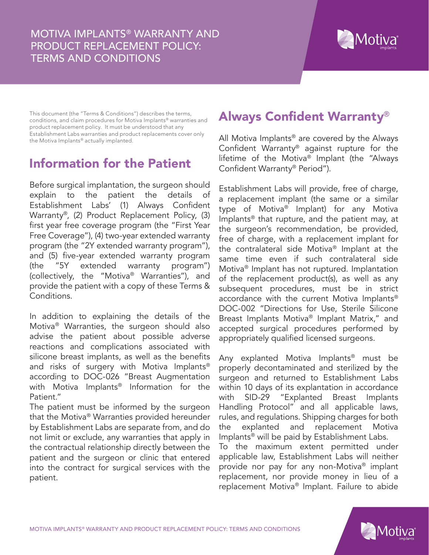

This document (the "Terms & Conditions") describes the terms, conditions, and claim procedures for Motiva Implants® warranties and product replacement policy. It must be understood that any Establishment Labs warranties and product replacements cover only the Motiva Implants® actually implanted.

# Information for the Patient

Before surgical implantation, the surgeon should explain to the patient the details of Establishment Labs' (1) Always Confident Warranty®, (2) Product Replacement Policy, (3) first year free coverage program (the "First Year Free Coverage"), (4) two-year extended warranty program (the "2Y extended warranty program"), and (5) five-year extended warranty program (the "5Y extended warranty program") (collectively, the "Motiva® Warranties"), and provide the patient with a copy of these Terms & Conditions.

In addition to explaining the details of the Motiva® Warranties, the surgeon should also advise the patient about possible adverse reactions and complications associated with silicone breast implants, as well as the benefits and risks of surgery with Motiva Implants® according to DOC-026 "Breast Augmentation with Motiva Implants® Information for the Patient."

The patient must be informed by the surgeon that the Motiva® Warranties provided hereunder by Establishment Labs are separate from, and do not limit or exclude, any warranties that apply in the contractual relationship directly between the patient and the surgeon or clinic that entered into the contract for surgical services with the patient.

# Always Confident Warranty®

All Motiva Implants® are covered by the Always Confident Warranty® against rupture for the lifetime of the Motiva® Implant (the "Always Confident Warranty® Period").

Establishment Labs will provide, free of charge, a replacement implant (the same or a similar type of Motiva® Implant) for any Motiva Implants® that rupture, and the patient may, at the surgeon's recommendation, be provided, free of charge, with a replacement implant for the contralateral side Motiva® Implant at the same time even if such contralateral side Motiva® Implant has not ruptured. Implantation of the replacement product(s), as well as any subsequent procedures, must be in strict accordance with the current Motiva Implants® DOC-002 "Directions for Use, Sterile Silicone Breast Implants Motiva® Implant Matrix," and accepted surgical procedures performed by appropriately qualified licensed surgeons.

Any explanted Motiva Implants® must be properly decontaminated and sterilized by the surgeon and returned to Establishment Labs within 10 days of its explantation in accordance with SID-29 "Explanted Breast Implants Handling Protocol" and all applicable laws, rules, and regulations. Shipping charges for both the explanted and replacement Motiva Implants® will be paid by Establishment Labs. To the maximum extent permitted under applicable law, Establishment Labs will neither provide nor pay for any non-Motiva® implant replacement, nor provide money in lieu of a replacement Motiva® Implant. Failure to abide

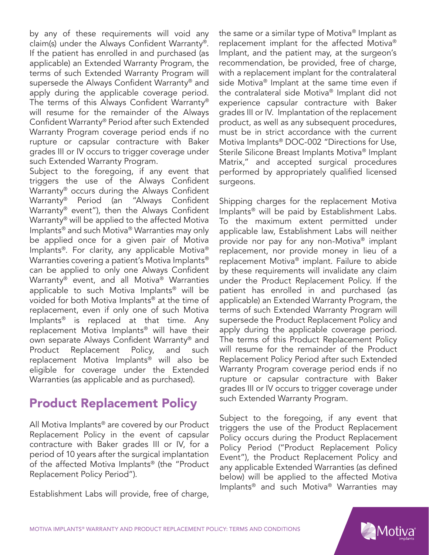by any of these requirements will void any claim(s) under the Always Confident Warranty®. If the patient has enrolled in and purchased (as applicable) an Extended Warranty Program, the terms of such Extended Warranty Program will supersede the Always Confident Warranty® and apply during the applicable coverage period. The terms of this Always Confident Warranty® will resume for the remainder of the Always Confident Warranty® Period after such Extended Warranty Program coverage period ends if no rupture or capsular contracture with Baker grades III or IV occurs to trigger coverage under such Extended Warranty Program.

Subject to the foregoing, if any event that triggers the use of the Always Confident Warranty® occurs during the Always Confident Warranty® Period (an "Always Confident Warranty® event"), then the Always Confident Warranty® will be applied to the affected Motiva Implants® and such Motiva® Warranties may only be applied once for a given pair of Motiva Implants®. For clarity, any applicable Motiva® Warranties covering a patient's Motiva Implants® can be applied to only one Always Confident Warranty® event, and all Motiva® Warranties applicable to such Motiva Implants® will be voided for both Motiva Implants® at the time of replacement, even if only one of such Motiva Implants® is replaced at that time. Any replacement Motiva Implants® will have their own separate Always Confident Warranty® and Product Replacement Policy, and such replacement Motiva Implants® will also be eligible for coverage under the Extended Warranties (as applicable and as purchased).

## Product Replacement Policy

All Motiva Implants® are covered by our Product Replacement Policy in the event of capsular contracture with Baker grades III or IV, for a period of 10 years after the surgical implantation of the affected Motiva Implants® (the "Product Replacement Policy Period").

Establishment Labs will provide, free of charge,

the same or a similar type of Motiva® Implant as replacement implant for the affected Motiva® Implant, and the patient may, at the surgeon's recommendation, be provided, free of charge, with a replacement implant for the contralateral side Motiva® Implant at the same time even if the contralateral side Motiva® Implant did not experience capsular contracture with Baker grades III or IV. Implantation of the replacement product, as well as any subsequent procedures, must be in strict accordance with the current Motiva Implants® DOC-002 "Directions for Use, Sterile Silicone Breast Implants Motiva® Implant Matrix," and accepted surgical procedures performed by appropriately qualified licensed surgeons.

Shipping charges for the replacement Motiva Implants® will be paid by Establishment Labs. To the maximum extent permitted under applicable law, Establishment Labs will neither provide nor pay for any non-Motiva® implant replacement, nor provide money in lieu of a replacement Motiva® implant. Failure to abide by these requirements will invalidate any claim under the Product Replacement Policy. If the patient has enrolled in and purchased (as applicable) an Extended Warranty Program, the terms of such Extended Warranty Program will supersede the Product Replacement Policy and apply during the applicable coverage period. The terms of this Product Replacement Policy will resume for the remainder of the Product Replacement Policy Period after such Extended Warranty Program coverage period ends if no rupture or capsular contracture with Baker grades III or IV occurs to trigger coverage under such Extended Warranty Program.

Subject to the foregoing, if any event that triggers the use of the Product Replacement Policy occurs during the Product Replacement Policy Period ("Product Replacement Policy Event"), the Product Replacement Policy and any applicable Extended Warranties (as defined below) will be applied to the affected Motiva Implants® and such Motiva® Warranties may



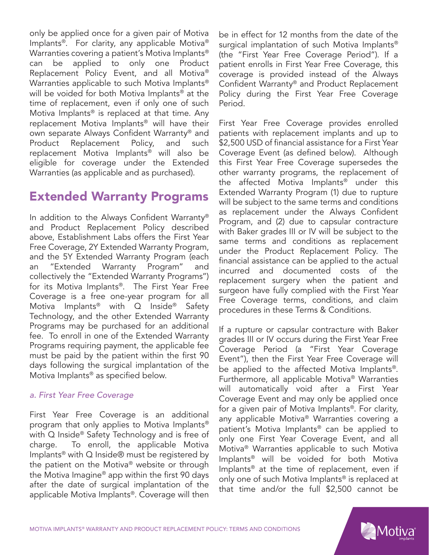only be applied once for a given pair of Motiva Implants®. For clarity, any applicable Motiva® Warranties covering a patient's Motiva Implants® can be applied to only one Product Replacement Policy Event, and all Motiva® Warranties applicable to such Motiva Implants® will be voided for both Motiva Implants<sup>®</sup> at the time of replacement, even if only one of such Motiva Implants® is replaced at that time. Any replacement Motiva Implants® will have their own separate Always Confident Warranty® and Product Replacement Policy, and such replacement Motiva Implants® will also be eligible for coverage under the Extended Warranties (as applicable and as purchased).

### Extended Warranty Programs

In addition to the Always Confident Warranty® and Product Replacement Policy described above, Establishment Labs offers the First Year Free Coverage, 2Y Extended Warranty Program, and the 5Y Extended Warranty Program (each an "Extended Warranty Program" and collectively the "Extended Warranty Programs") for its Motiva Implants®. The First Year Free Coverage is a free one-year program for all Motiva Implants<sup>®</sup> with Q Inside<sup>®</sup> Safety Technology, and the other Extended Warranty Programs may be purchased for an additional fee. To enroll in one of the Extended Warranty Programs requiring payment, the applicable fee must be paid by the patient within the first 90 days following the surgical implantation of the Motiva Implants® as specified below.

#### *a. First Year Free Coverage*

First Year Free Coverage is an additional program that only applies to Motiva Implants® with Q Inside<sup>®</sup> Safety Technology and is free of charge. To enroll, the applicable Motiva Implants® with Q Inside® must be registered by the patient on the Motiva® website or through the Motiva Imagine® app within the first 90 days after the date of surgical implantation of the applicable Motiva Implants®. Coverage will then

be in effect for 12 months from the date of the surgical implantation of such Motiva Implants® (the "First Year Free Coverage Period"). If a patient enrolls in First Year Free Coverage, this coverage is provided instead of the Always Confident Warranty® and Product Replacement Policy during the First Year Free Coverage Period.

First Year Free Coverage provides enrolled patients with replacement implants and up to \$2,500 USD of financial assistance for a First Year Coverage Event (as defined below). Although this First Year Free Coverage supersedes the other warranty programs, the replacement of the affected Motiva Implants® under this Extended Warranty Program (1) due to rupture will be subject to the same terms and conditions as replacement under the Always Confident Program, and (2) due to capsular contracture with Baker grades III or IV will be subject to the same terms and conditions as replacement under the Product Replacement Policy. The financial assistance can be applied to the actual incurred and documented costs of the replacement surgery when the patient and surgeon have fully complied with the First Year Free Coverage terms, conditions, and claim procedures in these Terms & Conditions.

If a rupture or capsular contracture with Baker grades III or IV occurs during the First Year Free Coverage Period (a "First Year Coverage Event"), then the First Year Free Coverage will be applied to the affected Motiva Implants®. Furthermore, all applicable Motiva® Warranties will automatically void after a First Year Coverage Event and may only be applied once for a given pair of Motiva Implants®. For clarity, any applicable Motiva® Warranties covering a patient's Motiva Implants® can be applied to only one First Year Coverage Event, and all Motiva® Warranties applicable to such Motiva Implants® will be voided for both Motiva Implants® at the time of replacement, even if only one of such Motiva Implants® is replaced at that time and/or the full \$2,500 cannot be

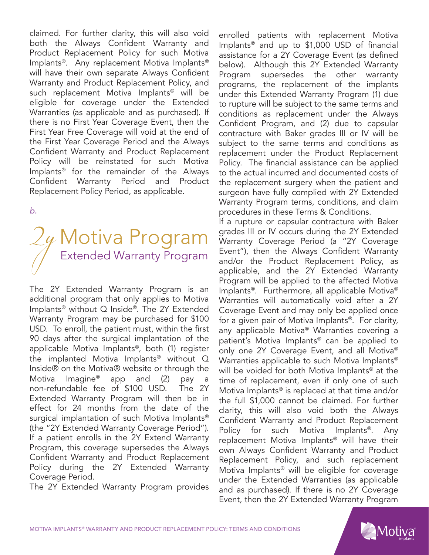claimed. For further clarity, this will also void both the Always Confident Warranty and Product Replacement Policy for such Motiva Implants®. Any replacement Motiva Implants® will have their own separate Always Confident Warranty and Product Replacement Policy, and such replacement Motiva Implants® will be eligible for coverage under the Extended Warranties (as applicable and as purchased). If there is no First Year Coverage Event, then the First Year Free Coverage will void at the end of the First Year Coverage Period and the Always Confident Warranty and Product Replacement Policy will be reinstated for such Motiva Implants® for the remainder of the Always Confident Warranty Period and Product Replacement Policy Period, as applicable.

*b.*

# Motiva Program Extended Warranty Program

The 2Y Extended Warranty Program is an additional program that only applies to Motiva Implants® without Q Inside®. The 2Y Extended Warranty Program may be purchased for \$100 USD. To enroll, the patient must, within the first 90 days after the surgical implantation of the applicable Motiva Implants®, both (1) register the implanted Motiva Implants® without Q Inside® on the Motiva® website or through the Motiva Imagine® app and (2) pay a non-refundable fee of \$100 USD. The 2Y Extended Warranty Program will then be in effect for 24 months from the date of the surgical implantation of such Motiva Implants® (the "2Y Extended Warranty Coverage Period"). If a patient enrolls in the 2Y Extend Warranty Program, this coverage supersedes the Always Confident Warranty and Product Replacement Policy during the 2Y Extended Warranty Coverage Period.

The 2Y Extended Warranty Program provides

enrolled patients with replacement Motiva Implants® and up to \$1,000 USD of financial assistance for a 2Y Coverage Event (as defined below). Although this 2Y Extended Warranty Program supersedes the other warranty programs, the replacement of the implants under this Extended Warranty Program (1) due to rupture will be subject to the same terms and conditions as replacement under the Always Confident Program, and (2) due to capsular contracture with Baker grades III or IV will be subject to the same terms and conditions as replacement under the Product Replacement Policy. The financial assistance can be applied to the actual incurred and documented costs of the replacement surgery when the patient and surgeon have fully complied with 2Y Extended Warranty Program terms, conditions, and claim procedures in these Terms & Conditions.

If a rupture or capsular contracture with Baker grades III or IV occurs during the 2Y Extended Warranty Coverage Period (a "2Y Coverage Event"), then the Always Confident Warranty and/or the Product Replacement Policy, as applicable, and the 2Y Extended Warranty Program will be applied to the affected Motiva Implants®. Furthermore, all applicable Motiva® Warranties will automatically void after a 2Y Coverage Event and may only be applied once for a given pair of Motiva Implants®. For clarity, any applicable Motiva® Warranties covering a patient's Motiva Implants® can be applied to only one 2Y Coverage Event, and all Motiva® Warranties applicable to such Motiva Implants® will be voided for both Motiva Implants<sup>®</sup> at the time of replacement, even if only one of such Motiva Implants® is replaced at that time and/or the full \$1,000 cannot be claimed. For further clarity, this will also void both the Always Confident Warranty and Product Replacement Policy for such Motiva Implants®. Any replacement Motiva Implants® will have their own Always Confident Warranty and Product Replacement Policy, and such replacement Motiva Implants® will be eligible for coverage under the Extended Warranties (as applicable and as purchased). If there is no 2Y Coverage Event, then the 2Y Extended Warranty Program

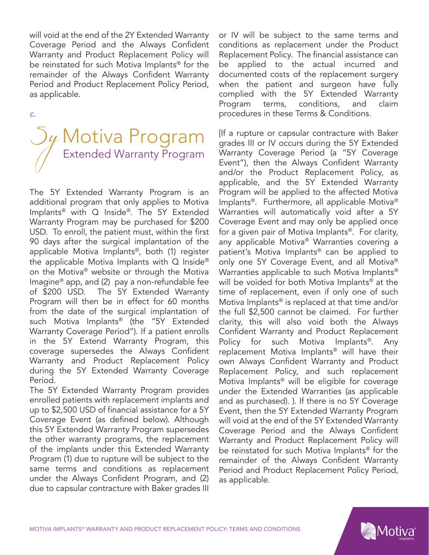will void at the end of the 2Y Extended Warranty Coverage Period and the Always Confident Warranty and Product Replacement Policy will be reinstated for such Motiva Implants® for the remainder of the Always Confident Warranty Period and Product Replacement Policy Period, as applicable.

*c.* 



The 5Y Extended Warranty Program is an additional program that only applies to Motiva Implants® with Q Inside®. The 5Y Extended Warranty Program may be purchased for \$200 USD. To enroll, the patient must, within the first 90 days after the surgical implantation of the applicable Motiva Implants®, both (1) register the applicable Motiva Implants with  $Q$  Inside<sup>®</sup> on the Motiva® website or through the Motiva Imagine® app, and (2) pay a non-refundable fee of \$200 USD. The 5Y Extended Warranty Program will then be in effect for 60 months from the date of the surgical implantation of such Motiva Implants® (the "5Y Extended Warranty Coverage Period"). If a patient enrolls in the 5Y Extend Warranty Program, this coverage supersedes the Always Confident Warranty and Product Replacement Policy during the 5Y Extended Warranty Coverage Period.

The 5Y Extended Warranty Program provides enrolled patients with replacement implants and up to \$2,500 USD of financial assistance for a 5Y Coverage Event (as defined below). Although this 5Y Extended Warranty Program supersedes the other warranty programs, the replacement of the implants under this Extended Warranty Program (1) due to rupture will be subject to the same terms and conditions as replacement under the Always Confident Program, and (2) due to capsular contracture with Baker grades III

or IV will be subject to the same terms and conditions as replacement under the Product Replacement Policy. The financial assistance can be applied to the actual incurred and documented costs of the replacement surgery when the patient and surgeon have fully complied with the 5Y Extended Warranty Program terms, conditions, and claim procedures in these Terms & Conditions.

[If a rupture or capsular contracture with Baker grades III or IV occurs during the 5Y Extended Warranty Coverage Period (a "5Y Coverage Event"), then the Always Confident Warranty and/or the Product Replacement Policy, as applicable, and the 5Y Extended Warranty Program will be applied to the affected Motiva Implants®. Furthermore, all applicable Motiva® Warranties will automatically void after a 5Y Coverage Event and may only be applied once for a given pair of Motiva Implants®. For clarity, any applicable Motiva® Warranties covering a patient's Motiva Implants® can be applied to only one 5Y Coverage Event, and all Motiva® Warranties applicable to such Motiva Implants® will be voided for both Motiva Implants<sup>®</sup> at the time of replacement, even if only one of such Motiva Implants® is replaced at that time and/or the full \$2,500 cannot be claimed. For further clarity, this will also void both the Always Confident Warranty and Product Replacement Policy for such Motiva Implants®. Any replacement Motiva Implants® will have their own Always Confident Warranty and Product Replacement Policy, and such replacement Motiva Implants® will be eligible for coverage under the Extended Warranties (as applicable and as purchased). ). If there is no 5Y Coverage Event, then the 5Y Extended Warranty Program will void at the end of the 5Y Extended Warranty Coverage Period and the Always Confident Warranty and Product Replacement Policy will be reinstated for such Motiva Implants® for the remainder of the Always Confident Warranty Period and Product Replacement Policy Period, as applicable.

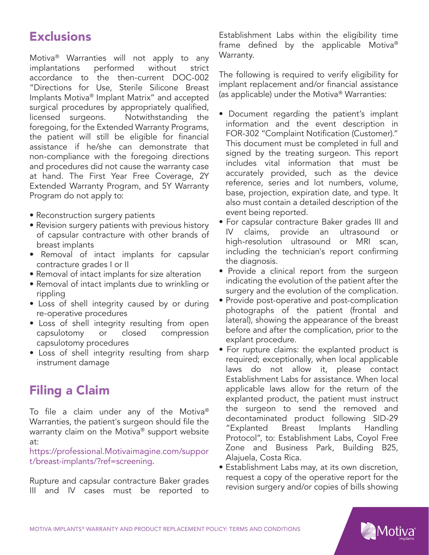# **Exclusions**

Motiva® Warranties will not apply to any implantations performed without strict accordance to the then-current DOC-002 "Directions for Use, Sterile Silicone Breast Implants Motiva® Implant Matrix" and accepted surgical procedures by appropriately qualified, licensed surgeons. Notwithstanding the foregoing, for the Extended Warranty Programs, the patient will still be eligible for financial assistance if he/she can demonstrate that non-compliance with the foregoing directions and procedures did not cause the warranty case at hand. The First Year Free Coverage, 2Y Extended Warranty Program, and 5Y Warranty Program do not apply to:

- Reconstruction surgery patients
- Revision surgery patients with previous history of capsular contracture with other brands of breast implants
- Removal of intact implants for capsular contracture grades I or II
- Removal of intact implants for size alteration
- Removal of intact implants due to wrinkling or rippling
- Loss of shell integrity caused by or during re-operative procedures
- Loss of shell integrity resulting from open capsulotomy or closed compression capsulotomy procedures
- Loss of shell integrity resulting from sharp instrument damage

## Filing a Claim

To file a claim under any of the Motiva® Warranties, the patient's surgeon should file the warranty claim on the Motiva® support website at:

https://professional.Motivaimagine.com/suppor t/breast-implants/?ref=screening.

Rupture and capsular contracture Baker grades III and IV cases must be reported to

Establishment Labs within the eligibility time frame defined by the applicable Motiva® Warranty.

The following is required to verify eligibility for implant replacement and/or financial assistance (as applicable) under the Motiva® Warranties:

- Document regarding the patient's implant information and the event description in FOR-302 "Complaint Notification (Customer)." This document must be completed in full and signed by the treating surgeon. This report includes vital information that must be accurately provided, such as the device reference, series and lot numbers, volume, base, projection, expiration date, and type. It also must contain a detailed description of the event being reported.
- For capsular contracture Baker grades III and IV claims, provide an ultrasound or high-resolution ultrasound or MRI scan, including the technician's report confirming the diagnosis.
- Provide a clinical report from the surgeon indicating the evolution of the patient after the surgery and the evolution of the complication.
- Provide post-operative and post-complication photographs of the patient (frontal and lateral), showing the appearance of the breast before and after the complication, prior to the explant procedure.
- For rupture claims: the explanted product is required; exceptionally, when local applicable laws do not allow it, please contact Establishment Labs for assistance. When local applicable laws allow for the return of the explanted product, the patient must instruct the surgeon to send the removed and decontaminated product following SID-29 "Explanted Breast Implants Handling Protocol", to: Establishment Labs, Coyol Free Zone and Business Park, Building B25, Alajuela, Costa Rica.
- Establishment Labs may, at its own discretion, request a copy of the operative report for the revision surgery and/or copies of bills showing